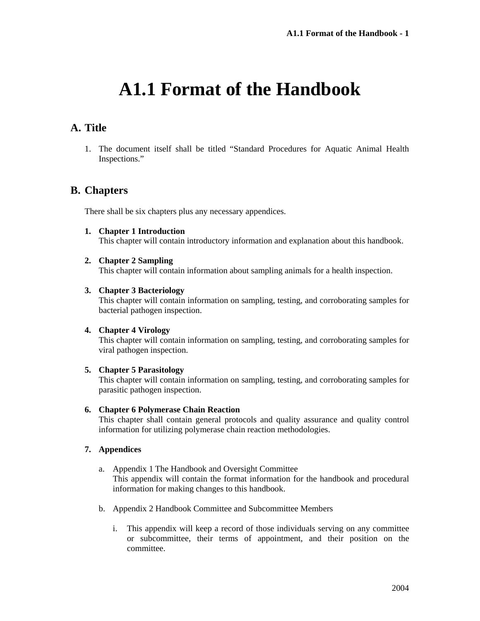# **A1.1 Format of the Handbook**

## **A. Title**

1. The document itself shall be titled "Standard Procedures for Aquatic Animal Health Inspections."

## **B. Chapters**

There shall be six chapters plus any necessary appendices.

**1. Chapter 1 Introduction** 

This chapter will contain introductory information and explanation about this handbook.

#### **2. Chapter 2 Sampling**

This chapter will contain information about sampling animals for a health inspection.

#### **3. Chapter 3 Bacteriology**

This chapter will contain information on sampling, testing, and corroborating samples for bacterial pathogen inspection.

#### **4. Chapter 4 Virology**

This chapter will contain information on sampling, testing, and corroborating samples for viral pathogen inspection.

#### **5. Chapter 5 Parasitology**

This chapter will contain information on sampling, testing, and corroborating samples for parasitic pathogen inspection.

#### **6. Chapter 6 Polymerase Chain Reaction**

This chapter shall contain general protocols and quality assurance and quality control information for utilizing polymerase chain reaction methodologies.

#### **7. Appendices**

- a. Appendix 1 The Handbook and Oversight Committee This appendix will contain the format information for the handbook and procedural information for making changes to this handbook.
- b. Appendix 2 Handbook Committee and Subcommittee Members
	- i. This appendix will keep a record of those individuals serving on any committee or subcommittee, their terms of appointment, and their position on the committee.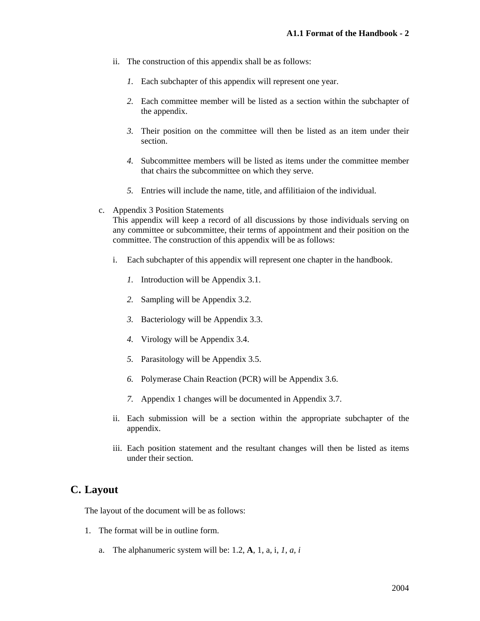- ii. The construction of this appendix shall be as follows:
	- *1.* Each subchapter of this appendix will represent one year.
	- *2.* Each committee member will be listed as a section within the subchapter of the appendix.
	- *3.* Their position on the committee will then be listed as an item under their section.
	- *4.* Subcommittee members will be listed as items under the committee member that chairs the subcommittee on which they serve.
	- *5.* Entries will include the name, title, and affilitiaion of the individual.
- c. Appendix 3 Position Statements

This appendix will keep a record of all discussions by those individuals serving on any committee or subcommittee, their terms of appointment and their position on the committee. The construction of this appendix will be as follows:

- i. Each subchapter of this appendix will represent one chapter in the handbook.
	- *1.* Introduction will be Appendix 3.1.
	- *2.* Sampling will be Appendix 3.2.
	- *3.* Bacteriology will be Appendix 3.3.
	- *4.* Virology will be Appendix 3.4.
	- *5.* Parasitology will be Appendix 3.5.
	- *6.* Polymerase Chain Reaction (PCR) will be Appendix 3.6.
	- *7.* Appendix 1 changes will be documented in Appendix 3.7.
- ii. Each submission will be a section within the appropriate subchapter of the appendix.
- iii. Each position statement and the resultant changes will then be listed as items under their section.

## **C. Layout**

The layout of the document will be as follows:

- 1. The format will be in outline form.
	- a. The alphanumeric system will be: 1.2, **A**, 1, a, i, *1*, *a, i*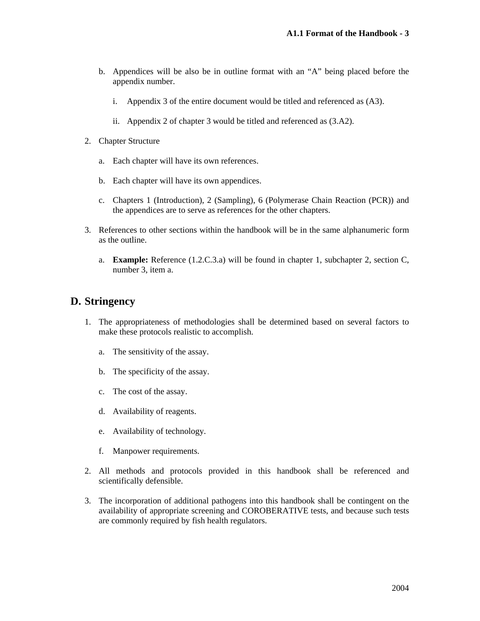- b. Appendices will be also be in outline format with an "A" being placed before the appendix number.
	- i. Appendix 3 of the entire document would be titled and referenced as (A3).
	- ii. Appendix 2 of chapter 3 would be titled and referenced as (3.A2).
- 2. Chapter Structure
	- a. Each chapter will have its own references.
	- b. Each chapter will have its own appendices.
	- c. Chapters 1 (Introduction), 2 (Sampling), 6 (Polymerase Chain Reaction (PCR)) and the appendices are to serve as references for the other chapters.
- 3. References to other sections within the handbook will be in the same alphanumeric form as the outline.
	- a. **Example:** Reference (1.2.C.3.a) will be found in chapter 1, subchapter 2, section C, number 3, item a.

### **D. Stringency**

- 1. The appropriateness of methodologies shall be determined based on several factors to make these protocols realistic to accomplish.
	- a. The sensitivity of the assay.
	- b. The specificity of the assay.
	- c. The cost of the assay.
	- d. Availability of reagents.
	- e. Availability of technology.
	- f. Manpower requirements.
- 2. All methods and protocols provided in this handbook shall be referenced and scientifically defensible.
- 3. The incorporation of additional pathogens into this handbook shall be contingent on the availability of appropriate screening and COROBERATIVE tests, and because such tests are commonly required by fish health regulators.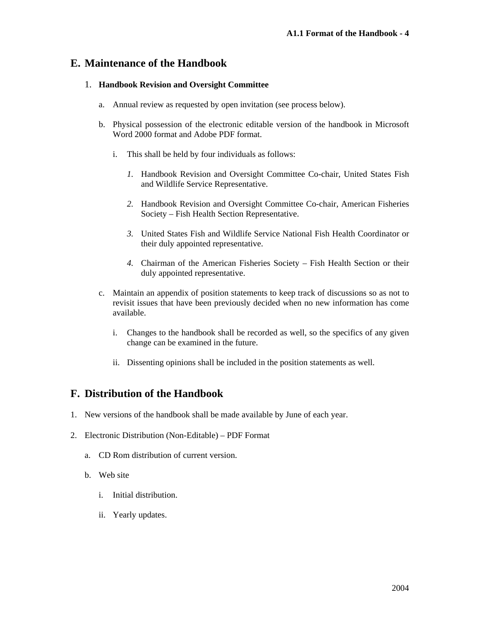### **E. Maintenance of the Handbook**

#### 1. **Handbook Revision and Oversight Committee**

- a. Annual review as requested by open invitation (see process below).
- b. Physical possession of the electronic editable version of the handbook in Microsoft Word 2000 format and Adobe PDF format.
	- i. This shall be held by four individuals as follows:
		- *1.* Handbook Revision and Oversight Committee Co-chair, United States Fish and Wildlife Service Representative.
		- *2.* Handbook Revision and Oversight Committee Co-chair, American Fisheries Society – Fish Health Section Representative.
		- *3.* United States Fish and Wildlife Service National Fish Health Coordinator or their duly appointed representative.
		- *4.* Chairman of the American Fisheries Society Fish Health Section or their duly appointed representative.
- c. Maintain an appendix of position statements to keep track of discussions so as not to revisit issues that have been previously decided when no new information has come available.
	- i. Changes to the handbook shall be recorded as well, so the specifics of any given change can be examined in the future.
	- ii. Dissenting opinions shall be included in the position statements as well.

## **F. Distribution of the Handbook**

- 1. New versions of the handbook shall be made available by June of each year.
- 2. Electronic Distribution (Non-Editable) PDF Format
	- a. CD Rom distribution of current version.
	- b. Web site
		- i. Initial distribution.
		- ii. Yearly updates.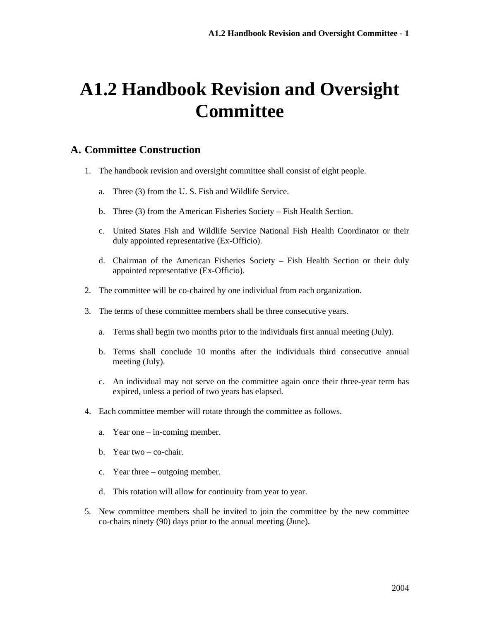# **A1.2 Handbook Revision and Oversight Committee**

### **A. Committee Construction**

- 1. The handbook revision and oversight committee shall consist of eight people.
	- a. Three (3) from the U. S. Fish and Wildlife Service.
	- b. Three (3) from the American Fisheries Society Fish Health Section.
	- c. United States Fish and Wildlife Service National Fish Health Coordinator or their duly appointed representative (Ex-Officio).
	- d. Chairman of the American Fisheries Society Fish Health Section or their duly appointed representative (Ex-Officio).
- 2. The committee will be co-chaired by one individual from each organization.
- 3. The terms of these committee members shall be three consecutive years.
	- a. Terms shall begin two months prior to the individuals first annual meeting (July).
	- b. Terms shall conclude 10 months after the individuals third consecutive annual meeting (July).
	- c. An individual may not serve on the committee again once their three-year term has expired, unless a period of two years has elapsed.
- 4. Each committee member will rotate through the committee as follows.
	- a. Year one in-coming member.
	- b. Year two co-chair.
	- c. Year three outgoing member.
	- d. This rotation will allow for continuity from year to year.
- 5. New committee members shall be invited to join the committee by the new committee co-chairs ninety (90) days prior to the annual meeting (June).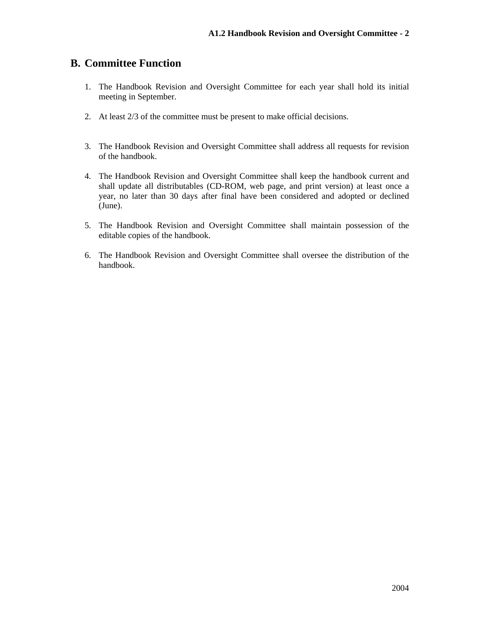## **B. Committee Function**

- 1. The Handbook Revision and Oversight Committee for each year shall hold its initial meeting in September.
- 2. At least 2/3 of the committee must be present to make official decisions.
- 3. The Handbook Revision and Oversight Committee shall address all requests for revision of the handbook.
- 4. The Handbook Revision and Oversight Committee shall keep the handbook current and shall update all distributables (CD-ROM, web page, and print version) at least once a year, no later than 30 days after final have been considered and adopted or declined (June).
- 5. The Handbook Revision and Oversight Committee shall maintain possession of the editable copies of the handbook.
- 6. The Handbook Revision and Oversight Committee shall oversee the distribution of the handbook.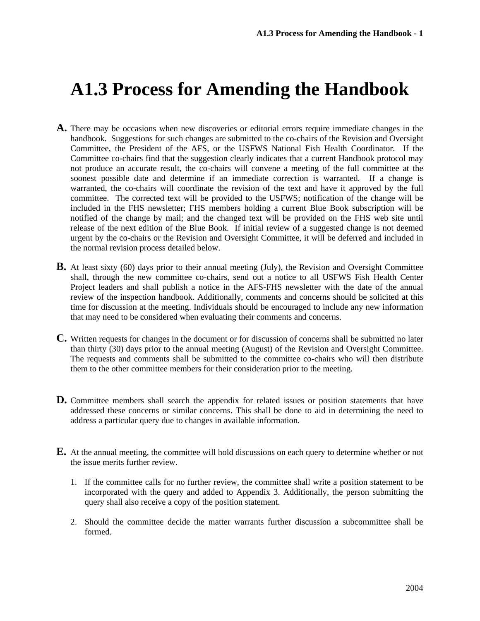## **A1.3 Process for Amending the Handbook**

- **A.** There may be occasions when new discoveries or editorial errors require immediate changes in the handbook. Suggestions for such changes are submitted to the co-chairs of the Revision and Oversight Committee, the President of the AFS, or the USFWS National Fish Health Coordinator. If the Committee co-chairs find that the suggestion clearly indicates that a current Handbook protocol may not produce an accurate result, the co-chairs will convene a meeting of the full committee at the soonest possible date and determine if an immediate correction is warranted. If a change is warranted, the co-chairs will coordinate the revision of the text and have it approved by the full committee. The corrected text will be provided to the USFWS; notification of the change will be included in the FHS newsletter; FHS members holding a current Blue Book subscription will be notified of the change by mail; and the changed text will be provided on the FHS web site until release of the next edition of the Blue Book. If initial review of a suggested change is not deemed urgent by the co-chairs or the Revision and Oversight Committee, it will be deferred and included in the normal revision process detailed below.
- **B.** At least sixty (60) days prior to their annual meeting (July), the Revision and Oversight Committee shall, through the new committee co-chairs, send out a notice to all USFWS Fish Health Center Project leaders and shall publish a notice in the AFS-FHS newsletter with the date of the annual review of the inspection handbook. Additionally, comments and concerns should be solicited at this time for discussion at the meeting. Individuals should be encouraged to include any new information that may need to be considered when evaluating their comments and concerns.
- **C.** Written requests for changes in the document or for discussion of concerns shall be submitted no later than thirty (30) days prior to the annual meeting (August) of the Revision and Oversight Committee. The requests and comments shall be submitted to the committee co-chairs who will then distribute them to the other committee members for their consideration prior to the meeting.
- **D.** Committee members shall search the appendix for related issues or position statements that have addressed these concerns or similar concerns. This shall be done to aid in determining the need to address a particular query due to changes in available information.
- **E.** At the annual meeting, the committee will hold discussions on each query to determine whether or not the issue merits further review.
	- 1. If the committee calls for no further review, the committee shall write a position statement to be incorporated with the query and added to Appendix 3. Additionally, the person submitting the query shall also receive a copy of the position statement.
	- 2. Should the committee decide the matter warrants further discussion a subcommittee shall be formed.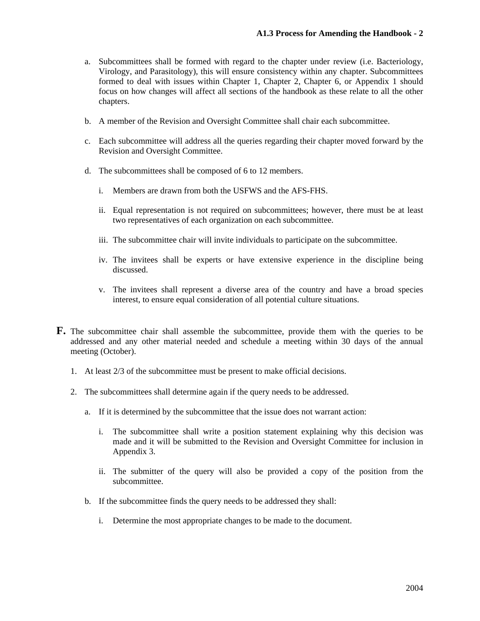- a. Subcommittees shall be formed with regard to the chapter under review (i.e. Bacteriology, Virology, and Parasitology), this will ensure consistency within any chapter. Subcommittees formed to deal with issues within Chapter 1, Chapter 2, Chapter 6, or Appendix 1 should focus on how changes will affect all sections of the handbook as these relate to all the other chapters.
- b. A member of the Revision and Oversight Committee shall chair each subcommittee.
- c. Each subcommittee will address all the queries regarding their chapter moved forward by the Revision and Oversight Committee.
- d. The subcommittees shall be composed of 6 to 12 members.
	- i. Members are drawn from both the USFWS and the AFS-FHS.
	- ii. Equal representation is not required on subcommittees; however, there must be at least two representatives of each organization on each subcommittee.
	- iii. The subcommittee chair will invite individuals to participate on the subcommittee.
	- iv. The invitees shall be experts or have extensive experience in the discipline being discussed.
	- v. The invitees shall represent a diverse area of the country and have a broad species interest, to ensure equal consideration of all potential culture situations.
- **F.** The subcommittee chair shall assemble the subcommittee, provide them with the queries to be addressed and any other material needed and schedule a meeting within 30 days of the annual meeting (October).
	- 1. At least 2/3 of the subcommittee must be present to make official decisions.
	- 2. The subcommittees shall determine again if the query needs to be addressed.
		- a. If it is determined by the subcommittee that the issue does not warrant action:
			- i. The subcommittee shall write a position statement explaining why this decision was made and it will be submitted to the Revision and Oversight Committee for inclusion in Appendix 3.
			- ii. The submitter of the query will also be provided a copy of the position from the subcommittee.
		- b. If the subcommittee finds the query needs to be addressed they shall:
			- i. Determine the most appropriate changes to be made to the document.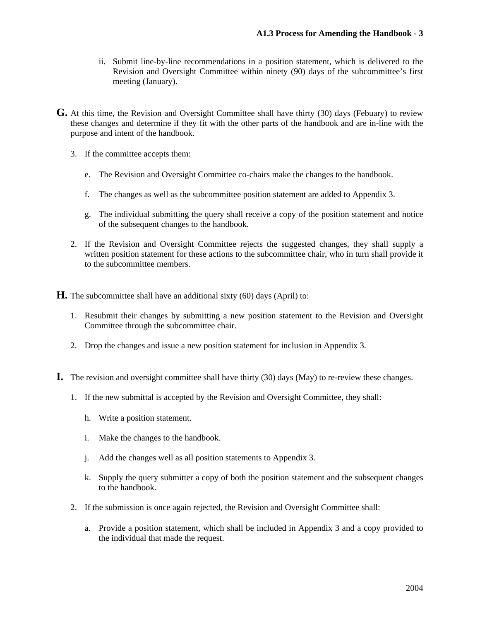- ii. Submit line-by-line recommendations in a position statement, which is delivered to the Revision and Oversight Committee within ninety (90) days of the subcommittee's first meeting (January).
- **G.** At this time, the Revision and Oversight Committee shall have thirty (30) days (Febuary) to review these changes and determine if they fit with the other parts of the handbook and are in-line with the purpose and intent of the handbook.
	- 3. If the committee accepts them:
		- e. The Revision and Oversight Committee co-chairs make the changes to the handbook.
		- f. The changes as well as the subcommittee position statement are added to Appendix 3.
		- g. The individual submitting the query shall receive a copy of the position statement and notice of the subsequent changes to the handbook.
	- 2. If the Revision and Oversight Committee rejects the suggested changes, they shall supply a written position statement for these actions to the subcommittee chair, who in turn shall provide it to the subcommittee members.

**H.** The subcommittee shall have an additional sixty (60) days (April) to:

- 1. Resubmit their changes by submitting a new position statement to the Revision and Oversight Committee through the subcommittee chair.
- 2. Drop the changes and issue a new position statement for inclusion in Appendix 3.
- **I.** The revision and oversight committee shall have thirty (30) days (May) to re-review these changes.
	- 1. If the new submittal is accepted by the Revision and Oversight Committee, they shall:
		- h. Write a position statement.
		- i. Make the changes to the handbook.
		- j. Add the changes well as all position statements to Appendix 3.
		- k. Supply the query submitter a copy of both the position statement and the subsequent changes to the handbook.
	- 2. If the submission is once again rejected, the Revision and Oversight Committee shall:
		- a. Provide a position statement, which shall be included in Appendix 3 and a copy provided to the individual that made the request.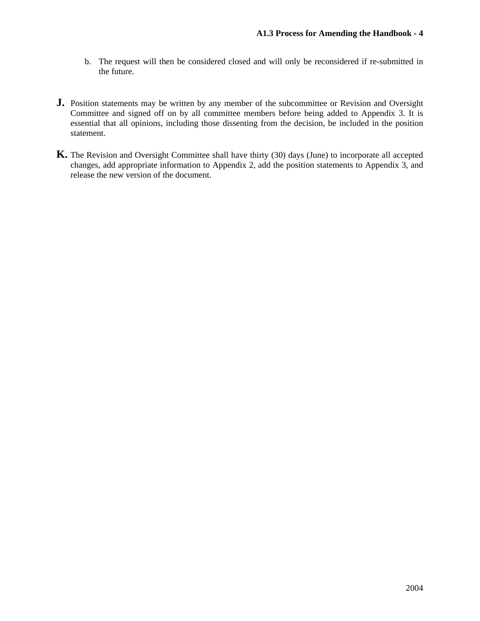- b. The request will then be considered closed and will only be reconsidered if re-submitted in the future.
- **J.** Position statements may be written by any member of the subcommittee or Revision and Oversight Committee and signed off on by all committee members before being added to Appendix 3. It is essential that all opinions, including those dissenting from the decision, be included in the position statement.
- **K.** The Revision and Oversight Committee shall have thirty (30) days (June) to incorporate all accepted changes, add appropriate information to Appendix 2, add the position statements to Appendix 3, and release the new version of the document.